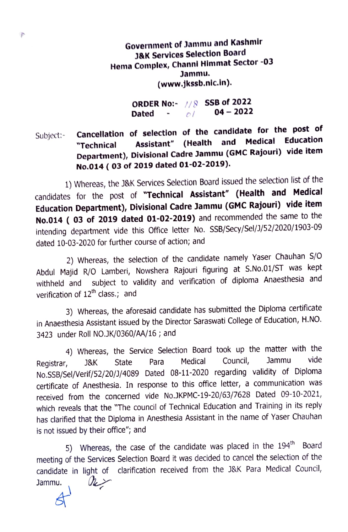Government of Jammu and Kashmir J&K Services Selection Board Hema Complex, Channi Himmat Sector -03 Jammu. (www.jkssb.nic.in).

> ORDER No:- $1/8$  SSB of 2022 Dated -  $\frac{1}{2}$  04 - 2022

Subject:- Cancellation of selection of the candidate for the post of<br>
"Technical Assistant" (Health and Medical Education **Cancement of Serveron (Health and Medical Education Cancel Assistant"** (Health and Medical Education Department), Divisional Cadre Jammu (GMC Rajouri) vide item No.014 ( 03 of 2019 dated 01-02-2019).

1) Whereas, the J&K Services Selection Board issued the selection list of the candidates for the post of "Technical Assistant" (Health and Medical Education Department), Divisional Cadre Jammu (GMC Rajouri) vide item No.014 ( 03 of 2019 dated 01-02-2019) and recommended the same to the intending department vide this Office letter No. SSB/Secy/Sel/]/52/2020/1903-09 dated 10-03-2020 for further course of action; and

2) Whereas, the selection of the candidate namely Yaser Chauhan S/O Abdul Majid R/O Lamberi, Nowshera Rajouri figuring at S.No.01/ST was kept withheld and subject to validity and verification of diploma Anaesthesia and verification of 12<sup>th</sup> class.; and

3) Whereas, the aforesaid candidate has submitted the Diploma certificate in Anaesthesia Assistant issued by the Director Saraswati College of Education, H.NO. 3423 under Roll NO.JK/0360/AA/16; and

4) Whereas, the Service Selection Board took up the matter with the<br>Bisky State Rara Medical Council, Jammu vide Registrar, J&K State Para Medical Council, Jammu vide No.SSB/Sel/Verif/52/20/J/4089 Dated 08-11-2020 regarding validity of Diploma certificate of Anesthesia. In response to this office letter, a communication was received from the concerned vide No.JKPMC-19-20/63/7628 Dated 09-10-2021, which reveals that the "The council of Technical Education and Training in its reply has clarified that the Diploma in Anesthesia Assistant in the name of Yaser Chauhan is not issued by their office"; and

5) Whereas, the case of the candidate was placed in the 194<sup>th</sup> Board meeting of the Services Selection Board it was decided to cancel the selection of the candidate in light of clarification received from the J&K Para Medical Council,  $\mathscr{R}$ Jammu.

 $\mathcal{F}$